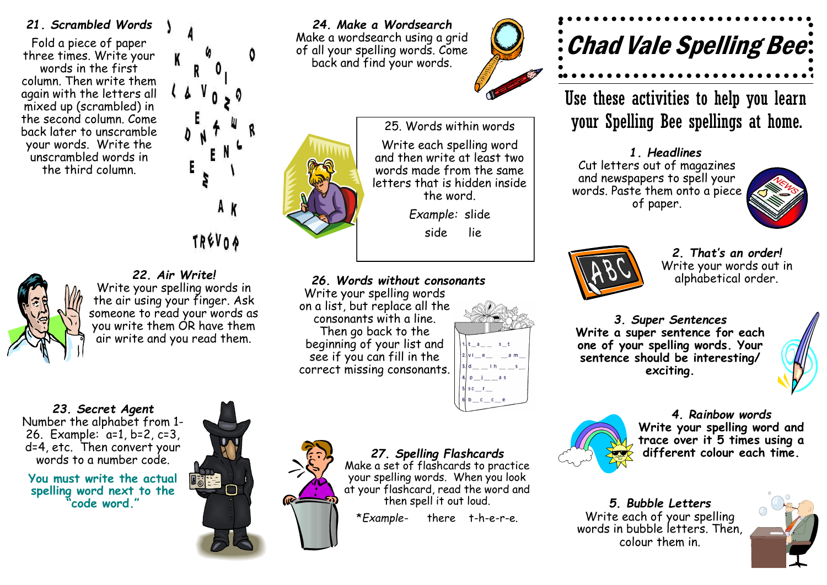#### *21. Scrambled Words*

Fold a piece of paper three times. Write your words in the first column. Then write them again with the letters all mixed up (scrambled) in the second column. Come back later to unscramble your words. Write the unscrambled words in the third column.



## TRÉVOR



### *22. Air Write!*

Write your spelling words in the air using your finger. Ask someone to read your words as you write them OR have them air write and you read them.

*23. Secret Agent* Number the alphabet from 1- 26. Example: a=1, b=2, c=3, d=4, etc. Then convert your words to a number code.

**You must write the actual spelling word next to the "code word."**



*24. Make a Wordsearch* Make a wordsearch using a grid of all your spelling words. Come back and find your words.





*26. Words without consonants*

Write your spelling words on a list, but replace all the consonants with a line. Then go back to the beginning of your list and see if you can fill in the correct missing consonants.



#### *27. Spelling Flashcards*

Make a set of flashcards to practice your spelling words. When you look at your flashcard, read the word and then spell it out loud.

\**Example-* there t-h-e-r-e.

# Chad Vale Spelling Bee

Use these activities to help you learn your Spelling Bee spellings at home.

*1. Headlines* Cut letters out of magazines and newspapers to spell your words. Paste them onto a piece of paper.





*2. That's an order!* Write your words out in alphabetical order.

*3. Super Sentences* **Write a super sentence for each one of your spelling words. Your sentence should be interesting/ exciting.** 





*4. Rainbow words* **Write your spelling word and trace over it 5 times using a different colour each time.**

*5. Bubble Letters* Write each of your spelling words in bubble letters. Then, colour them in.